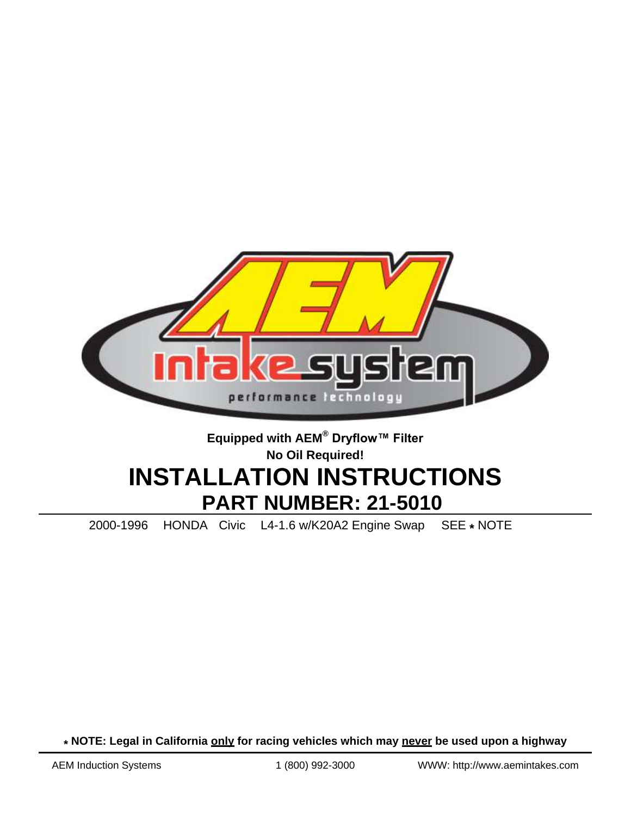

# **Equipped with AEM® Dryflow™ Filter No Oil Required! INSTALLATION INSTRUCTIONS PART NUMBER: 21-5010**

2000-1996 HONDA Civic L4-1.6 w/K20A2 Engine Swap SEE **\*** NOTE

**\* NOTE: Legal in California only for racing vehicles which may never be used upon a highway**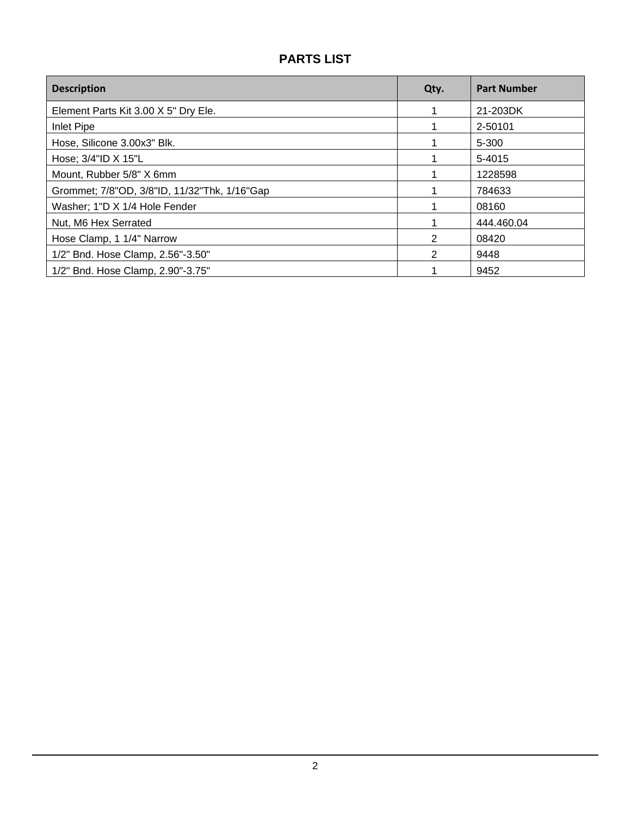# **PARTS LIST**

| <b>Description</b>                           | Qty. | <b>Part Number</b> |
|----------------------------------------------|------|--------------------|
| Element Parts Kit 3.00 X 5" Dry Ele.         |      | 21-203DK           |
| Inlet Pipe                                   |      | 2-50101            |
| Hose, Silicone 3.00x3" Blk.                  |      | $5 - 300$          |
| Hose; 3/4"ID X 15"L                          |      | 5-4015             |
| Mount, Rubber 5/8" X 6mm                     |      | 1228598            |
| Grommet; 7/8"OD, 3/8"ID, 11/32"Thk, 1/16"Gap |      | 784633             |
| Washer; 1"D X 1/4 Hole Fender                |      | 08160              |
| Nut, M6 Hex Serrated                         |      | 444.460.04         |
| Hose Clamp, 1 1/4" Narrow                    | 2    | 08420              |
| 1/2" Bnd. Hose Clamp, 2.56"-3.50"            | 2    | 9448               |
| 1/2" Bnd. Hose Clamp, 2.90"-3.75"            |      | 9452               |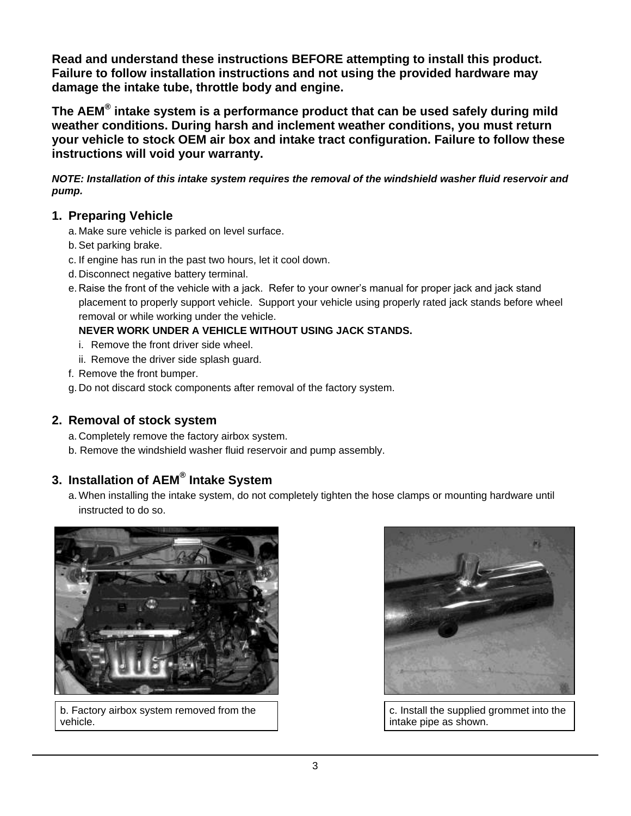**Read and understand these instructions BEFORE attempting to install this product. Failure to follow installation instructions and not using the provided hardware may damage the intake tube, throttle body and engine.**

**The AEM® intake system is a performance product that can be used safely during mild weather conditions. During harsh and inclement weather conditions, you must return your vehicle to stock OEM air box and intake tract configuration. Failure to follow these instructions will void your warranty.**

*NOTE: Installation of this intake system requires the removal of the windshield washer fluid reservoir and pump.*

## **1. Preparing Vehicle**

- a. Make sure vehicle is parked on level surface.
- b.Set parking brake.
- c. If engine has run in the past two hours, let it cool down.
- d. Disconnect negative battery terminal.
- e. Raise the front of the vehicle with a jack. Refer to your owner's manual for proper jack and jack stand placement to properly support vehicle. Support your vehicle using properly rated jack stands before wheel removal or while working under the vehicle.

#### **NEVER WORK UNDER A VEHICLE WITHOUT USING JACK STANDS.**

- i. Remove the front driver side wheel.
- ii. Remove the driver side splash guard.
- f. Remove the front bumper.
- g. Do not discard stock components after removal of the factory system.

## **2. Removal of stock system**

- a. Completely remove the factory airbox system.
- b. Remove the windshield washer fluid reservoir and pump assembly.

# **3. Installation of AEM® Intake System**

a. When installing the intake system, do not completely tighten the hose clamps or mounting hardware until instructed to do so.



b. Factory airbox system removed from the vehicle.



c. Install the supplied grommet into the intake pipe as shown.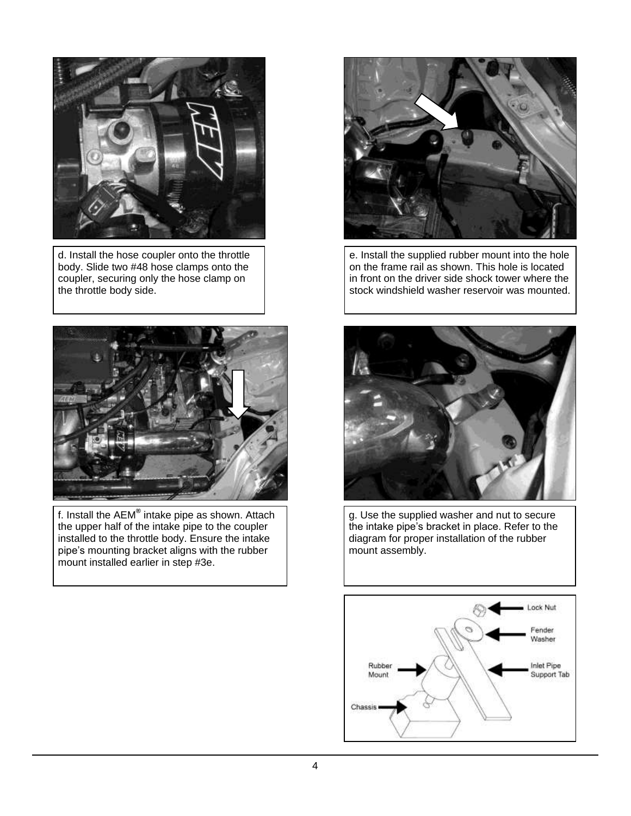

d. Install the hose coupler onto the throttle body. Slide two #48 hose clamps onto the coupler, securing only the hose clamp on the throttle body side.



f. Install the AEM**®** intake pipe as shown. Attach the upper half of the intake pipe to the coupler installed to the throttle body. Ensure the intake pipe's mounting bracket aligns with the rubber mount installed earlier in step #3e.



e. Install the supplied rubber mount into the hole on the frame rail as shown. This hole is located in front on the driver side shock tower where the stock windshield washer reservoir was mounted.



g. Use the supplied washer and nut to secure the intake pipe's bracket in place. Refer to the diagram for proper installation of the rubber mount assembly.

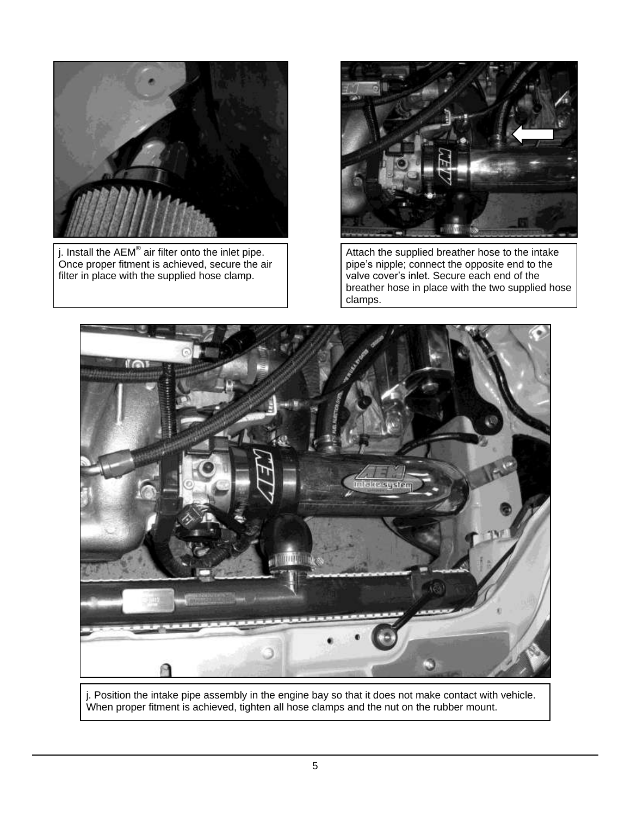

j. Install the AEM**®** air filter onto the inlet pipe. Once proper fitment is achieved, secure the air filter in place with the supplied hose clamp.



Attach the supplied breather hose to the intake pipe's nipple; connect the opposite end to the valve cover's inlet. Secure each end of the breather hose in place with the two supplied hose clamps.



j. Position the intake pipe assembly in the engine bay so that it does not make contact with vehicle. When proper fitment is achieved, tighten all hose clamps and the nut on the rubber mount.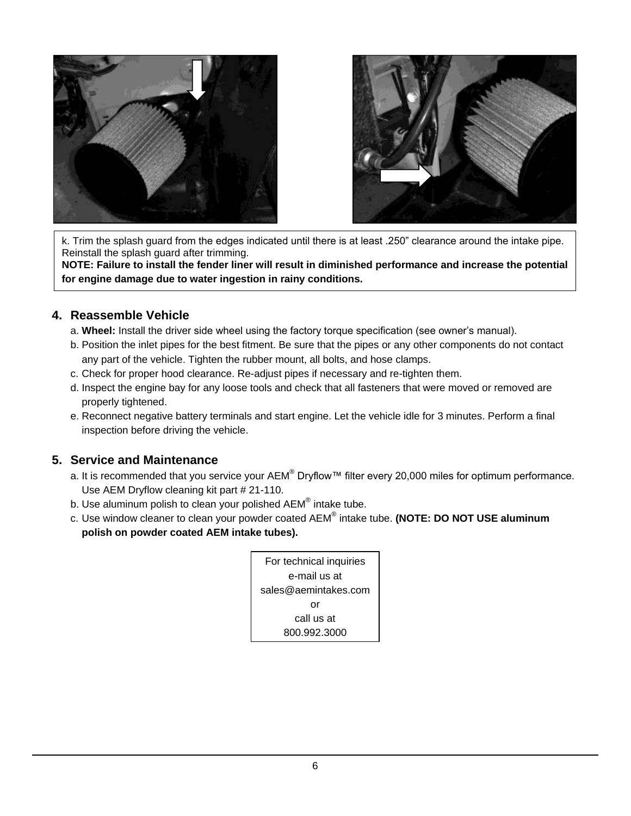



k. Trim the splash guard from the edges indicated until there is at least .250" clearance around the intake pipe. Reinstall the splash guard after trimming.

**NOTE: Failure to install the fender liner will result in diminished performance and increase the potential for engine damage due to water ingestion in rainy conditions.**

#### **4. Reassemble Vehicle**

- a. **Wheel:** Install the driver side wheel using the factory torque specification (see owner's manual).
- b. Position the inlet pipes for the best fitment. Be sure that the pipes or any other components do not contact any part of the vehicle. Tighten the rubber mount, all bolts, and hose clamps.
- c. Check for proper hood clearance. Re-adjust pipes if necessary and re-tighten them.
- d. Inspect the engine bay for any loose tools and check that all fasteners that were moved or removed are properly tightened.
- e. Reconnect negative battery terminals and start engine. Let the vehicle idle for 3 minutes. Perform a final inspection before driving the vehicle.

#### **5. Service and Maintenance**

- a. It is recommended that you service your  $AEM^{\circledast}$  Dryflow™ filter every 20,000 miles for optimum performance. Use AEM Dryflow cleaning kit part # 21-110.
- b. Use aluminum polish to clean your polished  $AEM^{\circledast}$  intake tube.
- c. Use window cleaner to clean your powder coated AEM® intake tube. **(NOTE: DO NOT USE aluminum polish on powder coated AEM intake tubes).**

| For technical inquiries |  |
|-------------------------|--|
| e-mail us at            |  |
| sales@aemintakes.com    |  |
| or                      |  |
| call us at              |  |
| 800.992.3000            |  |